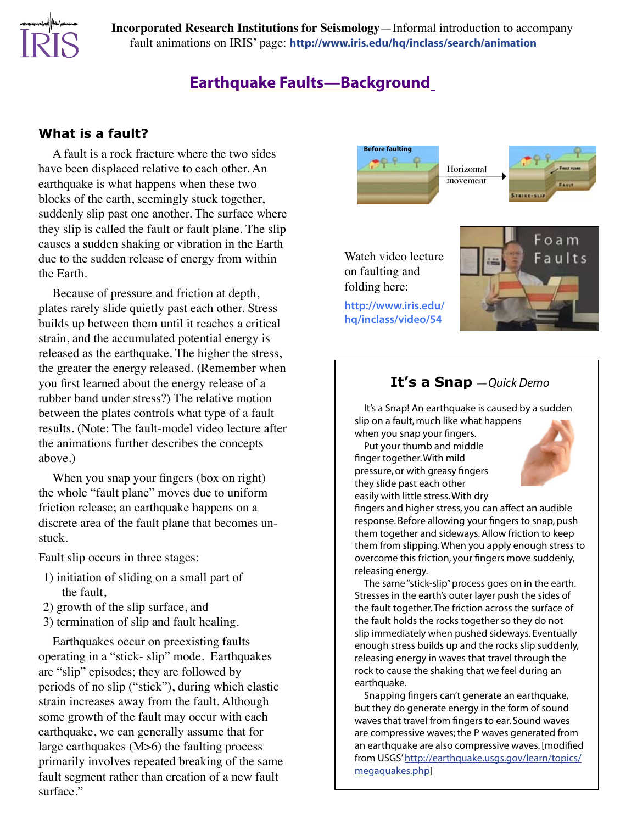**Incorporated Research Institutions for Seismology**—Informal introduction to accompany fault animations on IRIS' page: **[http://www.iris.edu/hq/inclass/search/animation](http://www.iris.edu/hq/inclass/search#type=1)**

## **Earthquake Faults—Background**

#### **What is a fault?**

A fault is a rock fracture where the two sides have been displaced relative to each other. An earthquake is what happens when these two blocks of the earth, seemingly stuck together, suddenly slip past one another. The surface where they slip is called the fault or fault plane. The slip causes a sudden shaking or vibration in the Earth due to the sudden release of energy from within the Earth.

Because of pressure and friction at depth, plates rarely slide quietly past each other. Stress builds up between them until it reaches a critical strain, and the accumulated potential energy is released as the earthquake. The higher the stress, the greater the energy released. (Remember when you first learned about the energy release of a rubber band under stress?) The relative motion between the plates controls what type of a fault results. (Note: The fault-model video lecture after the animations further describes the concepts above.)

When you snap your fingers (box on right) the whole "fault plane" moves due to uniform friction release; an earthquake happens on a discrete area of the fault plane that becomes unstuck.

Fault slip occurs in three stages:

- 1) initiation of sliding on a small part of the fault,
- 2) growth of the slip surface, and
- 3) termination of slip and fault healing.

Earthquakes occur on preexisting faults operating in a "stick- slip" mode. Earthquakes are "slip" episodes; they are followed by periods of no slip ("stick"), during which elastic strain increases away from the fault. Although some growth of the fault may occur with each earthquake, we can generally assume that for large earthquakes (M>6) the faulting process primarily involves repeated breaking of the same fault segment rather than creation of a new fault surface."



Watch video lecture on faulting and folding here:

**[http://www.iris.edu/](http://www.iris.edu/hq/inclass/video/54) [hq/inclass/video/54](http://www.iris.edu/hq/inclass/video/54)**



### **It's a Snap** —*Quick Demo*

It's a Snap! An earthquake is caused by a sudden slip on a fault, much like what happens when you snap your fingers.

Put your thumb and middle finger together. With mild pressure, or with greasy fingers they slide past each other easily with little stress. With dry



fingers and higher stress, you can affect an audible response. Before allowing your fingers to snap, push them together and sideways. Allow friction to keep them from slipping. When you apply enough stress to overcome this friction, your fingers move suddenly, releasing energy.

The same "stick-slip" process goes on in the earth. Stresses in the earth's outer layer push the sides of the fault together. The friction across the surface of the fault holds the rocks together so they do not slip immediately when pushed sideways. Eventually enough stress builds up and the rocks slip suddenly, releasing energy in waves that travel through the rock to cause the shaking that we feel during an earthquake.

Snapping fingers can't generate an earthquake, but they do generate energy in the form of sound waves that travel from fingers to ear. Sound waves are compressive waves; the P waves generated from an earthquake are also compressive waves. [modified from USGS' [http://earthquake.usgs.gov/learn/topics/](http://earthquake.usgs.gov/learn/topics/megaquakes.php) [megaquakes.php](http://earthquake.usgs.gov/learn/topics/megaquakes.php)]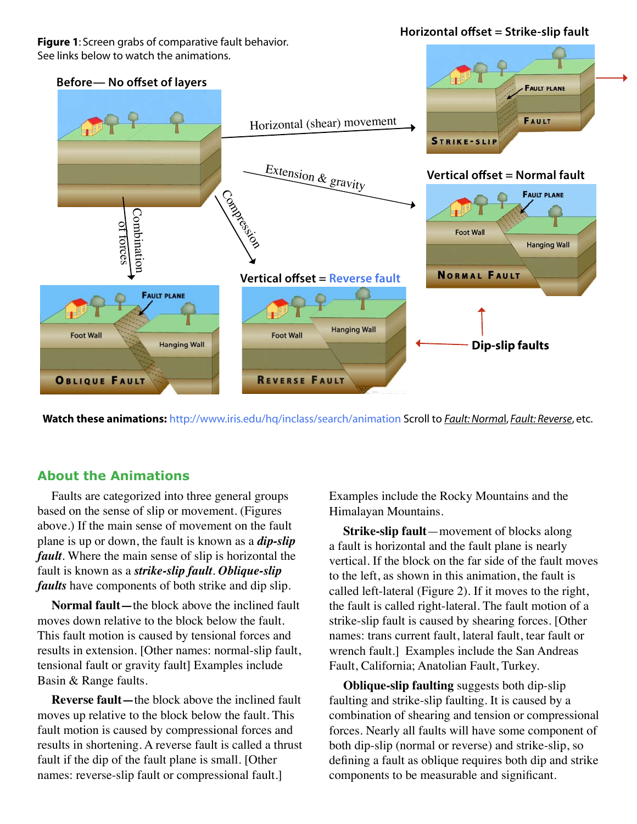**Figure 1**: Screen grabs of comparative fault behavior. See links below to watch the animations.

**Horizontal offset = Strike-slip fault**



**Watch these animations:** [http://www.iris.edu/hq/inclass/search/animation](http://www.iris.edu/hq/inclass/search#type=1) Scroll to *Fault: Norma*l, *Fault: Reverse*, etc.

#### **About the Animations**

Faults are categorized into three general groups based on the sense of slip or movement. (Figures above.) If the main sense of movement on the fault plane is up or down, the fault is known as a *dip-slip fault*. Where the main sense of slip is horizontal the fault is known as a *strike-slip fault*. *Oblique-slip faults* have components of both strike and dip slip.

**Normal fault—**the block above the inclined fault moves down relative to the block below the fault. This fault motion is caused by tensional forces and results in extension. [Other names: normal-slip fault, tensional fault or gravity fault] Examples include Basin & Range faults.

**Reverse fault—**the block above the inclined fault moves up relative to the block below the fault. This fault motion is caused by compressional forces and results in shortening. A reverse fault is called a thrust fault if the dip of the fault plane is small. [Other names: reverse-slip fault or compressional fault.]

Examples include the Rocky Mountains and the Himalayan Mountains.

**Strike-slip fault**—movement of blocks along a fault is horizontal and the fault plane is nearly vertical. If the block on the far side of the fault moves to the left, as shown in this animation, the fault is called left-lateral (Figure 2). If it moves to the right, the fault is called right-lateral. The fault motion of a strike-slip fault is caused by shearing forces. [Other names: trans current fault, lateral fault, tear fault or wrench fault.] Examples include the San Andreas Fault, California; Anatolian Fault, Turkey.

**Oblique-slip faulting** suggests both dip-slip faulting and strike-slip faulting. It is caused by a combination of shearing and tension or compressional forces. Nearly all faults will have some component of both dip-slip (normal or reverse) and strike-slip, so defining a fault as oblique requires both dip and strike components to be measurable and significant.